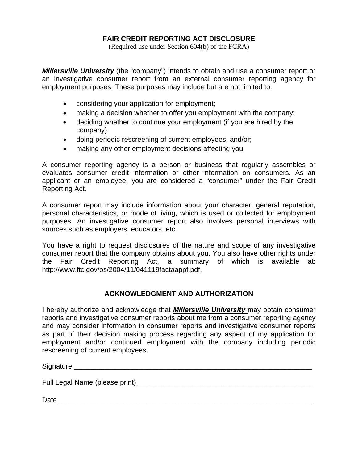# **FAIR CREDIT REPORTING ACT DISCLOSURE**

(Required use under Section 604(b) of the FCRA)

*Millersville University* (the "company") intends to obtain and use a consumer report or an investigative consumer report from an external consumer reporting agency for employment purposes. These purposes may include but are not limited to:

- considering your application for employment;
- making a decision whether to offer you employment with the company;
- deciding whether to continue your employment (if you are hired by the company);
- doing periodic rescreening of current employees, and/or;
- making any other employment decisions affecting you.

A consumer reporting agency is a person or business that regularly assembles or evaluates consumer credit information or other information on consumers. As an applicant or an employee, you are considered a "consumer" under the Fair Credit Reporting Act.

A consumer report may include information about your character, general reputation, personal characteristics, or mode of living, which is used or collected for employment purposes. An investigative consumer report also involves personal interviews with sources such as employers, educators, etc.

You have a right to request disclosures of the nature and scope of any investigative consumer report that the company obtains about you. You also have other rights under the Fair Credit Reporting Act, a summary of which is available at: http://www.ftc.gov/os/2004/11/041119factaappf.pdf.

# **ACKNOWLEDGMENT AND AUTHORIZATION**

I hereby authorize and acknowledge that *Millersville University* may obtain consumer reports and investigative consumer reports about me from a consumer reporting agency and may consider information in consumer reports and investigative consumer reports as part of their decision making process regarding any aspect of my application for employment and/or continued employment with the company including periodic rescreening of current employees.

Signature \_\_\_\_\_\_\_\_\_\_\_\_\_\_\_\_\_\_\_\_\_\_\_\_\_\_\_\_\_\_\_\_\_\_\_\_\_\_\_\_\_\_\_\_\_\_\_\_\_\_\_\_\_\_\_\_\_\_\_\_\_

Full Legal Name (please print) \_\_\_\_\_\_\_\_\_\_\_\_\_\_\_\_\_\_\_\_\_\_\_\_\_\_\_\_\_\_\_\_\_\_\_\_\_\_\_\_\_\_\_\_\_

| ⌒<br>Dal |  |  |  |
|----------|--|--|--|
|          |  |  |  |